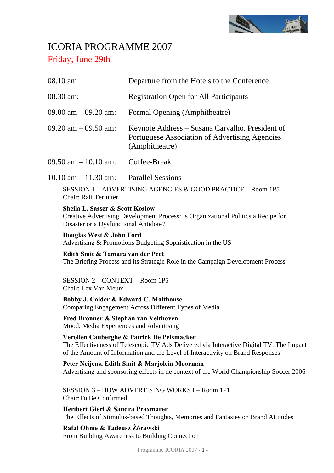

# ICORIA PROGRAMME 2007 Friday, June 29th

| 08.10 am                                                                                                                                | Departure from the Hotels to the Conference                                                                                                                                                                             |  |
|-----------------------------------------------------------------------------------------------------------------------------------------|-------------------------------------------------------------------------------------------------------------------------------------------------------------------------------------------------------------------------|--|
| 08.30 am:                                                                                                                               | <b>Registration Open for All Participants</b>                                                                                                                                                                           |  |
| $09.00$ am $-09.20$ am:                                                                                                                 | Formal Opening (Amphitheatre)                                                                                                                                                                                           |  |
| $09.20$ am $-09.50$ am:                                                                                                                 | Keynote Address – Susana Carvalho, President of<br>Portuguese Association of Advertising Agencies<br>(Amphitheatre)                                                                                                     |  |
| $09.50$ am $-10.10$ am:                                                                                                                 | Coffee-Break                                                                                                                                                                                                            |  |
| $10.10$ am $- 11.30$ am:                                                                                                                | <b>Parallel Sessions</b>                                                                                                                                                                                                |  |
| <b>Chair: Ralf Terlutter</b>                                                                                                            | SESSION 1 – ADVERTISING AGENCIES & GOOD PRACTICE – Room 1P5                                                                                                                                                             |  |
| <b>Sheila L. Sasser &amp; Scott Koslow</b><br>Disaster or a Dysfunctional Antidote?                                                     | Creative Advertising Development Process: Is Organizational Politics a Recipe for                                                                                                                                       |  |
| Douglas West & John Ford                                                                                                                | Advertising & Promotions Budgeting Sophistication in the US                                                                                                                                                             |  |
| Edith Smit & Tamara van der Peet                                                                                                        | The Briefing Process and its Strategic Role in the Campaign Development Process                                                                                                                                         |  |
| <b>SESSION 2 - CONTEXT - Room 1P5</b><br>Chair: Lex Van Meurs                                                                           |                                                                                                                                                                                                                         |  |
| Bobby J. Calder & Edward C. Malthouse                                                                                                   | Comparing Engagement Across Different Types of Media                                                                                                                                                                    |  |
| Fred Bronner & Stephan van Velthoven<br>Mood, Media Experiences and Advertising                                                         |                                                                                                                                                                                                                         |  |
|                                                                                                                                         | Verolien Cauberghe & Patrick De Pelsmacker<br>The Effectiveness of Telescopic TV Ads Delivered via Interactive Digital TV: The Impact<br>of the Amount of Information and the Level of Interactivity on Brand Responses |  |
| Peter Neijens, Edith Smit & Marjolein Moorman<br>Advertising and sponsoring effects in de context of the World Championship Soccer 2006 |                                                                                                                                                                                                                         |  |
|                                                                                                                                         |                                                                                                                                                                                                                         |  |

SESSION 3 – HOW ADVERTISING WORKS I – Room 1P1 Chair:To Be Confirmed

**Heribert Gierl & Sandra Praxmarer**  The Effects of Stimulus-based Thoughts, Memories and Fantasies on Brand Attitudes

# **Rafal Ohme & Tadeusz Żórawski**  From Building Awareness to Building Connection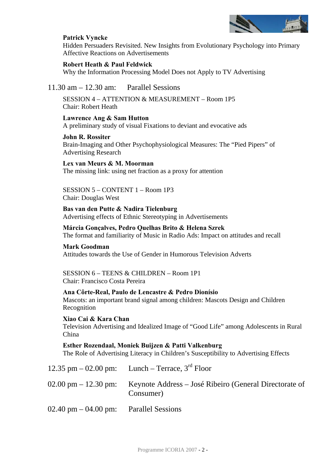

# **Patrick Vyncke**

Hidden Persuaders Revisited. New Insights from Evolutionary Psychology into Primary Affective Reactions on Advertisements

## **Robert Heath & Paul Feldwick**

Why the Information Processing Model Does not Apply to TV Advertising

# 11.30 am – 12.30 am: Parallel Sessions

SESSION 4 – ATTENTION & MEASUREMENT – Room 1P5 Chair: Robert Heath

### **Lawrence Ang & Sam Hutton**  A preliminary study of visual Fixations to deviant and evocative ads

**John R. Rossiter**  Brain-Imaging and Other Psychophysiological Measures: The "Pied Pipers" of Advertising Research

# **Lex van Meurs & M. Moorman**

The missing link: using net fraction as a proxy for attention

# SESSION 5 – CONTENT 1 – Room 1P3 Chair: Douglas West

**Bas van den Putte & Nadira Tielenburg**  Advertising effects of Ethnic Stereotyping in Advertisements

# **Márcia Gonçalves, Pedro Quelhas Brito & Helena Szrek**  The format and familiarity of Music in Radio Ads: Impact on attitudes and recall

**Mark Goodman**  Attitudes towards the Use of Gender in Humorous Television Adverts

SESSION 6 – TEENS & CHILDREN – Room 1P1 Chair: Francisco Costa Pereira

# **Ana Côrte-Real, Paulo de Lencastre & Pedro Dionísio**

Mascots: an important brand signal among children: Mascots Design and Children Recognition

# **Xiao Cai & Kara Chan**

Television Advertising and Idealized Image of "Good Life" among Adolescents in Rural China

# **Esther Rozendaal, Moniek Buijzen & Patti Valkenburg**

The Role of Advertising Literacy in Children's Susceptibility to Advertising Effects

|                                                           | 12.35 pm $-$ 02.00 pm: Lunch – Terrace, $3rd$ Floor                 |
|-----------------------------------------------------------|---------------------------------------------------------------------|
| $02.00 \text{ pm} - 12.30 \text{ pm}$                     | Keynote Address – José Ribeiro (General Directorate of<br>Consumer) |
| $02.40 \text{ pm} - 04.00 \text{ pm}$ : Parallel Sessions |                                                                     |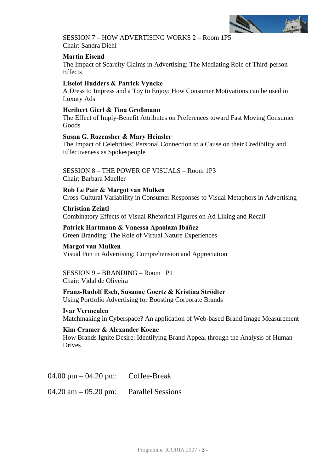

SESSION 7 – HOW ADVERTISING WORKS 2 – Room 1P5 Chair: Sandra Diehl

# **Martin Eisend**

The Impact of Scarcity Claims in Advertising: The Mediating Role of Third-person Effects

## **Liselot Hudders & Patrick Vyncke**

A Dress to Impress and a Toy to Enjoy: How Consumer Motivations can be used in Luxury Ads

### **Heribert Gierl & Tina Großmann**

The Effect of Imply-Benefit Attributes on Preferences toward Fast Moving Consumer Goods

### **Susan G. Rozensher & Mary Heinsler**

The Impact of Celebrities' Personal Connection to a Cause on their Credibility and Effectiveness as Spokespeople

SESSION 8 – THE POWER OF VISUALS – Room 1P3 Chair: Barbara Mueller

**Rob Le Pair & Margot van Mulken**  Cross-Cultural Variability in Consumer Responses to Visual Metaphors in Advertising

**Christian Zeintl**  Combinatory Effects of Visual Rhetorical Figures on Ad Liking and Recall

**Patrick Hartmann & Vanessa Apaolaza Ibáñez**  Green Branding: The Role of Virtual Nature Experiences

**Margot van Mulken**  Visual Pun in Advertising: Comprehension and Appreciation

SESSION 9 – BRANDING – Room 1P1 Chair: Vidal de Oliveira

**Franz-Rudolf Esch, Susanne Goertz & Kristina Strödter**  Using Portfolio Advertising for Boosting Corporate Brands

**Ivar Vermeulen**  Matchmaking in Cyberspace? An application of Web-based Brand Image Measurement

#### **Kim Cramer & Alexander Koene**

How Brands Ignite Desire: Identifying Brand Appeal through the Analysis of Human Drives

04.00 pm – 04.20 pm: Coffee-Break

 $04.20$  am  $-05.20$  pm: Parallel Sessions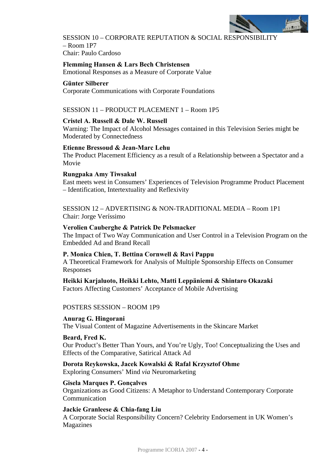

SESSION 10 – CORPORATE REPUTATION & SOCIAL RESPONSIBILITY  $–$  Room 1P7 Chair: Paulo Cardoso

**Flemming Hansen & Lars Bech Christensen** 

Emotional Responses as a Measure of Corporate Value

#### **Günter Silberer**

Corporate Communications with Corporate Foundations

# SESSION 11 – PRODUCT PLACEMENT 1 – Room 1P5

#### **Cristel A. Russell & Dale W. Russell**

Warning: The Impact of Alcohol Messages contained in this Television Series might be Moderated by Connectedness

#### **Etienne Bressoud & Jean-Marc Lehu**

The Product Placement Efficiency as a result of a Relationship between a Spectator and a Movie

#### **Rungpaka Amy Tiwsakul**

East meets west in Consumers' Experiences of Television Programme Product Placement – Identification, Intertextuality and Reflexivity

SESSION 12 – ADVERTISING & NON-TRADITIONAL MEDIA – Room 1P1 Chair: Jorge Veríssimo

#### **Verolien Cauberghe & Patrick De Pelsmacker**

The Impact of Two Way Communication and User Control in a Television Program on the Embedded Ad and Brand Recall

#### **P. Monica Chien, T. Bettina Cornwell & Ravi Pappu**

A Theoretical Framework for Analysis of Multiple Sponsorship Effects on Consumer Responses

# **Heikki Karjaluoto, Heikki Lehto, Matti Leppäniemi & Shintaro Okazaki**

Factors Affecting Customers' Acceptance of Mobile Advertising

#### POSTERS SESSION – ROOM 1P9

#### **Anurag G. Hingorani**

The Visual Content of Magazine Advertisements in the Skincare Market

#### **Beard, Fred K.**

Our Product's Better Than Yours, and You're Ugly, Too! Conceptualizing the Uses and Effects of the Comparative, Satirical Attack Ad

# **Dorota Reykowska, Jacek Kowalski & Rafal Krzysztof Ohme**

Exploring Consumers' Mind *via* Neuromarketing

#### **Gisela Marques P. Gonçalves**

Organizations as Good Citizens: A Metaphor to Understand Contemporary Corporate Communication

#### **Jackie Granleese & Chia-fang Liu**

A Corporate Social Responsibility Concern? Celebrity Endorsement in UK Women's Magazines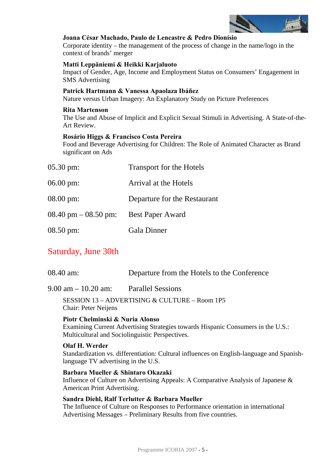

### **Joana César Machado, Paulo de Lencastre & Pedro Dionísio**

Corporate identity – the management of the process of change in the name/logo in the context of brands' merger

#### **Matti Leppäniemi & Heikki Karjaluoto**

Impact of Gender, Age, Income and Employment Status on Consumers' Engagement in SMS Advertising

#### **Patrick Hartmann & Vanessa Apaolaza Ibáñez**

Nature versus Urban Imagery: An Explanatory Study on Picture Preferences

#### **Rita Martenson**

The Use and Abuse of Implicit and Explicit Sexual Stimuli in Advertising. A State-of-the-Art Review.

### **Rosário Higgs & Francisco Costa Pereira**

Food and Beverage Advertising for Children: The Role of Animated Character as Brand significant on Ads

| $05.30 \text{ pm}$ :                    | Transport for the Hotels     |
|-----------------------------------------|------------------------------|
| $06.00 \text{ pm}$ :                    | Arrival at the Hotels        |
| $08.00 \text{ pm}$ :                    | Departure for the Restaurant |
| $08.40 \text{ pm} - 08.50 \text{ pm}$ : | <b>Best Paper Award</b>      |
| $08.50 \text{ pm}$ :                    | <b>Gala Dinner</b>           |

# Saturday, June 30th

|  | 08.40 am: | Departure from the Hotels to the Conference |
|--|-----------|---------------------------------------------|
|--|-----------|---------------------------------------------|

9.00 am – 10.20 am: Parallel Sessions

SESSION 13 – ADVERTISING & CULTURE – Room 1P5 Chair: Peter Neijens

# **Piotr Chelminski & Nuria Alonso**

Examining Current Advertising Strategies towards Hispanic Consumers in the U.S.: Multicultural and Sociolinguistic Perspectives.

#### **Olaf H. Werder**

Standardization vs. differentiation: Cultural influences on English-language and Spanishlanguage TV advertising in the U.S.

# **Barbara Mueller & Shintaro Okazaki**

Influence of Culture on Advertising Appeals: A Comparative Analysis of Japanese & American Print Advertising.

# **Sandra Diehl, Ralf Terlutter & Barbara Mueller**

The Influence of Culture on Responses to Performance orientation in international Advertising Messages – Preliminary Results from five countries.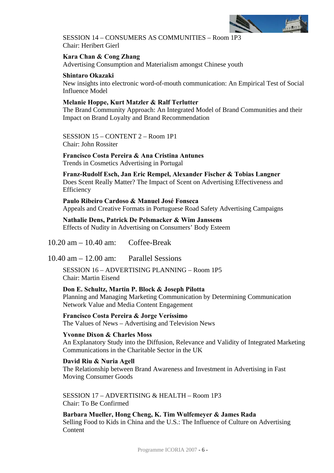

SESSION 14 – CONSUMERS AS COMMUNITIES – Room 1P3 Chair: Heribert Gierl

**Kara Chan & Cong Zhang**  Advertising Consumption and Materialism amongst Chinese youth

## **Shintaro Okazaki**

New insights into electronic word-of-mouth communication: An Empirical Test of Social Influence Model

# **Melanie Hoppe, Kurt Matzler & Ralf Terlutter**

The Brand Community Approach: An Integrated Model of Brand Communities and their Impact on Brand Loyalty and Brand Recommendation

SESSION 15 – CONTENT 2 – Room 1P1 Chair: John Rossiter

# **Francisco Costa Pereira & Ana Cristina Antunes**

Trends in Cosmetics Advertising in Portugal

**Franz-Rudolf Esch, Jan Eric Rempel, Alexander Fischer & Tobias Langner**  Does Scent Really Matter? The Impact of Scent on Advertising Effectiveness and Efficiency

**Paulo Ribeiro Cardoso & Manuel José Fonseca**  Appeals and Creative Formats in Portuguese Road Safety Advertising Campaigns

**Nathalie Dens, Patrick De Pelsmacker & Wim Janssens**  Effects of Nudity in Advertising on Consumers' Body Esteem

10.20 am – 10.40 am: Coffee-Break

10.40 am – 12.00 am: Parallel Sessions

SESSION 16 – ADVERTISING PLANNING – Room 1P5 Chair: Martin Eisend

**Don E. Schultz, Martin P. Block & Joseph Pilotta**  Planning and Managing Marketing Communication by Determining Communication Network Value and Media Content Engagement

**Francisco Costa Pereira & Jorge Veríssimo**  The Values of News – Advertising and Television News

**Yvonne Dixon & Charles Moss**  An Explanatory Study into the Diffusion, Relevance and Validity of Integrated Marketing Communications in the Charitable Sector in the UK

**David Riu & Nuria Agell**  The Relationship between Brand Awareness and Investment in Advertising in Fast Moving Consumer Goods

SESSION 17 – ADVERTISING & HEALTH – Room 1P3 Chair: To Be Confirmed

**Barbara Mueller, Hong Cheng, K. Tim Wulfemeyer & James Rada**  Selling Food to Kids in China and the U.S.: The Influence of Culture on Advertising **Content**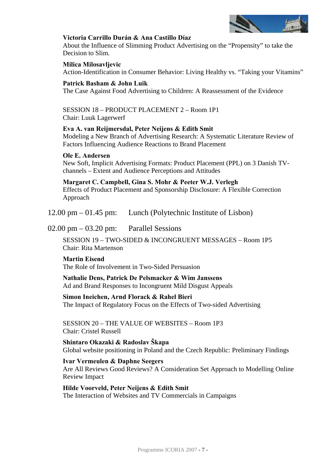

# **Victoria Carrillo Durán & Ana Castillo Díaz**

About the Influence of Slimming Product Advertising on the "Propensity" to take the Decision to Slim.

## **Milica Milosavljevic**

Action-Identification in Consumer Behavior: Living Healthy vs. "Taking your Vitamins"

## **Patrick Basham & John Luik**

The Case Against Food Advertising to Children: A Reassessment of the Evidence

### SESSION 18 – PRODUCT PLACEMENT 2 – Room 1P1 Chair: Luuk Lagerwerf

# **Eva A. van Reijmersdal, Peter Neijens & Edith Smit**

Modeling a New Branch of Advertising Research: A Systematic Literature Review of Factors Influencing Audience Reactions to Brand Placement

### **Ole E. Andersen**

New Soft, Implicit Advertising Formats: Product Placement (PPL) on 3 Danish TVchannels – Extent and Audience Perceptions and Attitudes

### **Margaret C. Campbell, Gina S. Mohr & Peeter W.J. Verlegh**

Effects of Product Placement and Sponsorship Disclosure: A Flexible Correction Approach

12.00 pm – 01.45 pm: Lunch (Polytechnic Institute of Lisbon)

02.00 pm – 03.20 pm: Parallel Sessions

SESSION 19 – TWO-SIDED & INCONGRUENT MESSAGES – Room 1P5 Chair: Rita Martenson

# **Martin Eisend**

The Role of Involvement in Two-Sided Persuasion

**Nathalie Dens, Patrick De Pelsmacker & Wim Janssens**  Ad and Brand Responses to Incongruent Mild Disgust Appeals

**Simon Ineichen, Arnd Florack & Rahel Bieri**  The Impact of Regulatory Focus on the Effects of Two-sided Advertising

SESSION 20 – THE VALUE OF WEBSITES – Room 1P3 Chair: Cristel Russell

**Shintaro Okazaki & Radoslav Škapa**  Global website positioning in Poland and the Czech Republic: Preliminary Findings

# **Ivar Vermeulen & Daphne Seegers**

Are All Reviews Good Reviews? A Consideration Set Approach to Modelling Online Review Impact

**Hilde Voorveld, Peter Neijens & Edith Smit**  The Interaction of Websites and TV Commercials in Campaigns